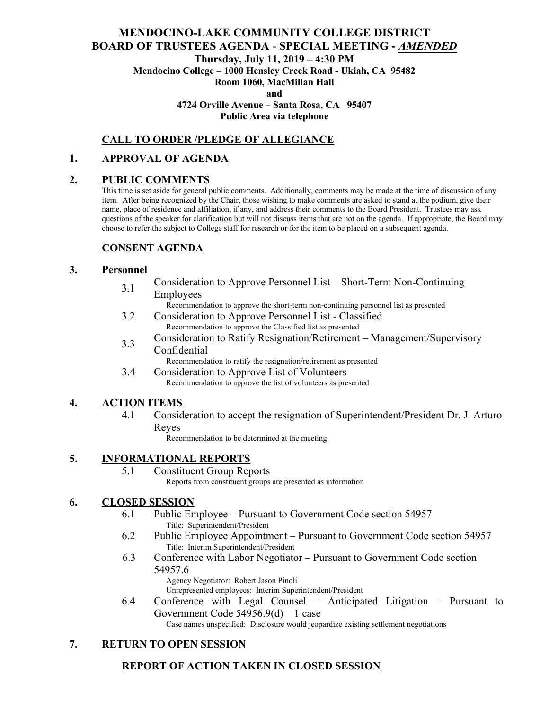# **MENDOCINO-LAKE COMMUNITY COLLEGE DISTRICT BOARD OF TRUSTEES AGENDA** - **SPECIAL MEETING -** *AMENDED*

# **Thursday, July 11, 2019 – 4:30 PM**

**Mendocino College – 1000 Hensley Creek Road - Ukiah, CA 95482** 

**Room 1060, MacMillan Hall** 

**and** 

**4724 Orville Avenue – Santa Rosa, CA 95407** 

#### **Public Area via telephone**

#### **CALL TO ORDER /PLEDGE OF ALLEGIANCE**

#### **1. APPROVAL OF AGENDA**

#### **2. PUBLIC COMMENTS**

This time is set aside for general public comments. Additionally, comments may be made at the time of discussion of any item. After being recognized by the Chair, those wishing to make comments are asked to stand at the podium, give their name, place of residence and affiliation, if any, and address their comments to the Board President. Trustees may ask questions of the speaker for clarification but will not discuss items that are not on the agenda. If appropriate, the Board may choose to refer the subject to College staff for research or for the item to be placed on a subsequent agenda.

### **CONSENT AGENDA**

#### **3. Personnel**

3.1 Consideration to Approve Personnel List – Short-Term Non-Continuing Employees

Recommendation to approve the short-term non-continuing personnel list as presented

- 3.2 Consideration to Approve Personnel List Classified Recommendation to approve the Classified list as presented
- 3.3 Consideration to Ratify Resignation/Retirement – Management/Supervisory Confidential

Recommendation to ratify the resignation/retirement as presented

3.4 Consideration to Approve List of Volunteers Recommendation to approve the list of volunteers as presented

### **4. ACTION ITEMS**

4.1 Consideration to accept the resignation of Superintendent/President Dr. J. Arturo Reyes

Recommendation to be determined at the meeting

# **5. INFORMATIONAL REPORTS**

5.1 Constituent Group Reports Reports from constituent groups are presented as information

# **6. CLOSED SESSION**

- 6.1 Public Employee Pursuant to Government Code section 54957 Title: Superintendent/President
- 6.2 Public Employee Appointment Pursuant to Government Code section 54957 Title: Interim Superintendent/President
- 6.3 Conference with Labor Negotiator Pursuant to Government Code section 54957.6

Agency Negotiator: Robert Jason Pinoli

Unrepresented employees: Interim Superintendent/President

6.4 Conference with Legal Counsel – Anticipated Litigation – Pursuant to Government Code 54956.9(d) – 1 case Case names unspecified: Disclosure would jeopardize existing settlement negotiations

### **7. RETURN TO OPEN SESSION**

# **REPORT OF ACTION TAKEN IN CLOSED SESSION**